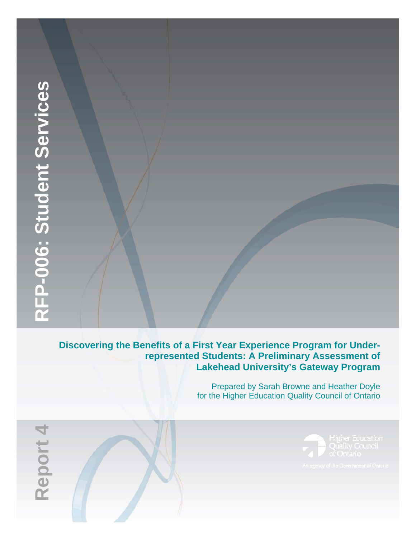Report 4

**Discovering the Benefits of a First Year Experience Program for Underrepresented Students: A Preliminary Assessment of Lakehead University's Gateway Program**

> Prepared by Sarah Browne and Heather Doyle for the Higher Education Quality Council of Ontario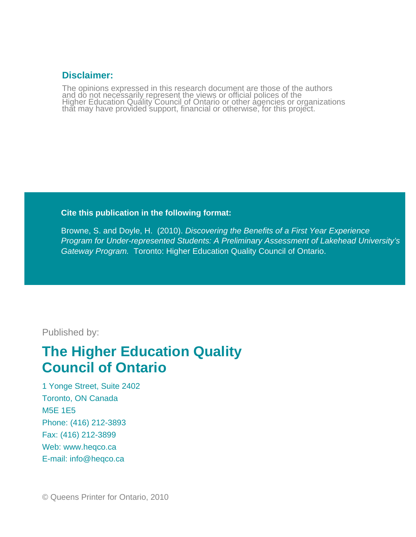### **Disclaimer:**

The opinions expressed in this research document are those of the authors and do not necessarily represent the views or official polices of the<br>Higher Education Quality Council of Ontario or other agencies or organizations<br>that may have provided support, financial or otherwise, for this project.

#### **Cite this publication in the following format:**

Browne, S. and Doyle, H. (2010). *Discovering the Benefits of a First Year Experience Program for Under-represented Students: A Preliminary Assessment of Lakehead University's Gateway Program.* Toronto: Higher Education Quality Council of Ontario.

Published by:

# **The Higher Education Quality Council of Ontario**

1 Yonge Street, Suite 2402 Toronto, ON Canada M5E 1E5 Phone: (416) 212-3893 Fax: (416) 212-3899 Web: www.heqco.ca E-mail: info@heqco.ca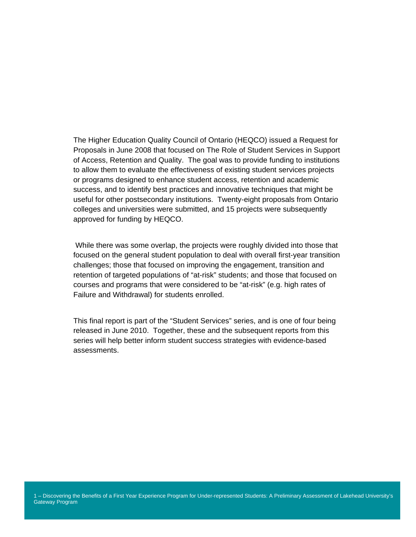The Higher Education Quality Council of Ontario (HEQCO) issued a Request for Proposals in June 2008 that focused on The Role of Student Services in Support of Access, Retention and Quality. The goal was to provide funding to institutions to allow them to evaluate the effectiveness of existing student services projects or programs designed to enhance student access, retention and academic success, and to identify best practices and innovative techniques that might be useful for other postsecondary institutions. Twenty-eight proposals from Ontario colleges and universities were submitted, and 15 projects were subsequently approved for funding by HEQCO.

 While there was some overlap, the projects were roughly divided into those that focused on the general student population to deal with overall first-year transition challenges; those that focused on improving the engagement, transition and retention of targeted populations of "at-risk" students; and those that focused on courses and programs that were considered to be "at-risk" (e.g. high rates of Failure and Withdrawal) for students enrolled.

This final report is part of the "Student Services" series, and is one of four being released in June 2010. Together, these and the subsequent reports from this series will help better inform student success strategies with evidence-based assessments.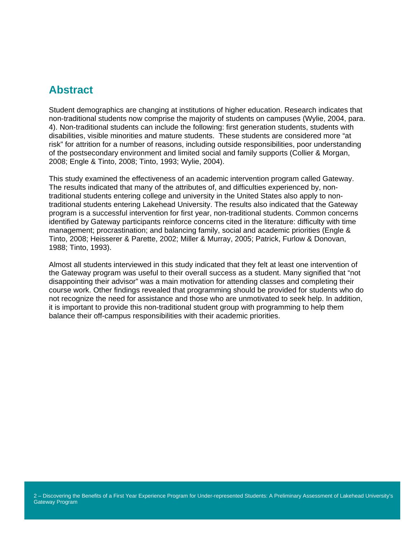### **Abstract**

Student demographics are changing at institutions of higher education. Research indicates that non-traditional students now comprise the majority of students on campuses (Wylie, 2004, para. 4). Non-traditional students can include the following: first generation students, students with disabilities, visible minorities and mature students. These students are considered more "at risk" for attrition for a number of reasons, including outside responsibilities, poor understanding of the postsecondary environment and limited social and family supports (Collier & Morgan, 2008; Engle & Tinto, 2008; Tinto, 1993; Wylie, 2004).

This study examined the effectiveness of an academic intervention program called Gateway. The results indicated that many of the attributes of, and difficulties experienced by, nontraditional students entering college and university in the United States also apply to nontraditional students entering Lakehead University. The results also indicated that the Gateway program is a successful intervention for first year, non-traditional students. Common concerns identified by Gateway participants reinforce concerns cited in the literature: difficulty with time management; procrastination; and balancing family, social and academic priorities (Engle & Tinto, 2008; Heisserer & Parette, 2002; Miller & Murray, 2005; Patrick, Furlow & Donovan, 1988; Tinto, 1993).

Almost all students interviewed in this study indicated that they felt at least one intervention of the Gateway program was useful to their overall success as a student. Many signified that "not disappointing their advisor" was a main motivation for attending classes and completing their course work. Other findings revealed that programming should be provided for students who do not recognize the need for assistance and those who are unmotivated to seek help. In addition, it is important to provide this non-traditional student group with programming to help them balance their off-campus responsibilities with their academic priorities.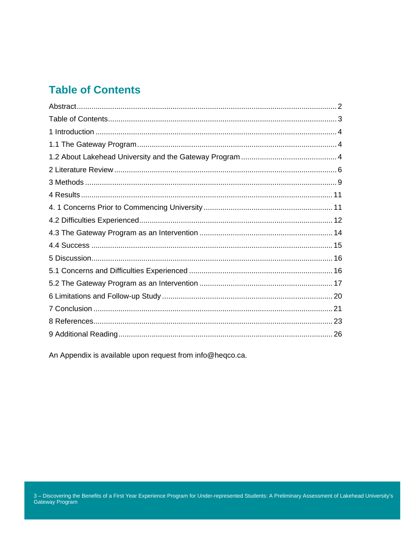# **Table of Contents**

An Appendix is available upon request from info@heqco.ca.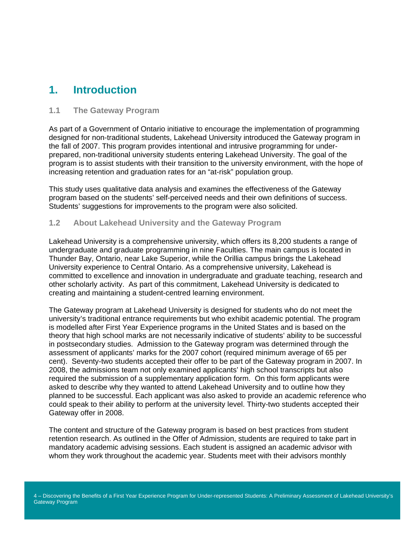### **1. Introduction**

#### **1.1 The Gateway Program**

As part of a Government of Ontario initiative to encourage the implementation of programming designed for non-traditional students, Lakehead University introduced the Gateway program in the fall of 2007. This program provides intentional and intrusive programming for underprepared, non-traditional university students entering Lakehead University. The goal of the program is to assist students with their transition to the university environment, with the hope of increasing retention and graduation rates for an "at-risk" population group.

This study uses qualitative data analysis and examines the effectiveness of the Gateway program based on the students' self-perceived needs and their own definitions of success. Students' suggestions for improvements to the program were also solicited.

#### **1.2 About Lakehead University and the Gateway Program**

Lakehead University is a comprehensive university, which offers its 8,200 students a range of undergraduate and graduate programming in nine Faculties. The main campus is located in Thunder Bay, Ontario, near Lake Superior, while the Orillia campus brings the Lakehead University experience to Central Ontario. As a comprehensive university, Lakehead is committed to excellence and innovation in undergraduate and graduate teaching, research and other scholarly activity. As part of this commitment, Lakehead University is dedicated to creating and maintaining a student-centred learning environment.

The Gateway program at Lakehead University is designed for students who do not meet the university's traditional entrance requirements but who exhibit academic potential. The program is modelled after First Year Experience programs in the United States and is based on the theory that high school marks are not necessarily indicative of students' ability to be successful in postsecondary studies. Admission to the Gateway program was determined through the assessment of applicants' marks for the 2007 cohort (required minimum average of 65 per cent). Seventy-two students accepted their offer to be part of the Gateway program in 2007. In 2008, the admissions team not only examined applicants' high school transcripts but also required the submission of a supplementary application form. On this form applicants were asked to describe why they wanted to attend Lakehead University and to outline how they planned to be successful. Each applicant was also asked to provide an academic reference who could speak to their ability to perform at the university level. Thirty-two students accepted their Gateway offer in 2008.

The content and structure of the Gateway program is based on best practices from student retention research. As outlined in the Offer of Admission, students are required to take part in mandatory academic advising sessions. Each student is assigned an academic advisor with whom they work throughout the academic year. Students meet with their advisors monthly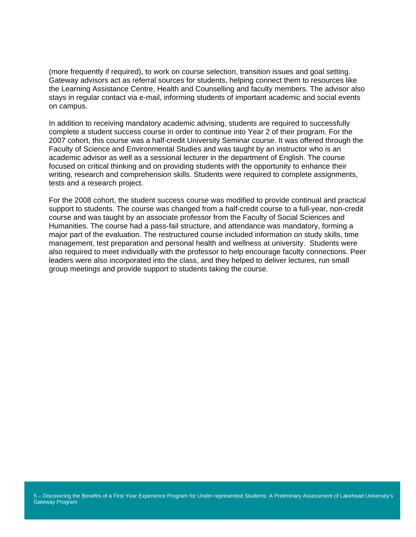(more frequently if required), to work on course selection, transition issues and goal setting. Gateway advisors act as referral sources for students, helping connect them to resources like the Learning Assistance Centre, Health and Counselling and faculty members. The advisor also stays in regular contact via e-mail, informing students of important academic and social events on campus.

In addition to receiving mandatory academic advising, students are required to successfully complete a student success course in order to continue into Year 2 of their program. For the 2007 cohort, this course was a half-credit University Seminar course. It was offered through the Faculty of Science and Environmental Studies and was taught by an instructor who is an academic advisor as well as a sessional lecturer in the department of English. The course focused on critical thinking and on providing students with the opportunity to enhance their writing, research and comprehension skills. Students were required to complete assignments, tests and a research project.

For the 2008 cohort, the student success course was modified to provide continual and practical support to students. The course was changed from a half-credit course to a full-year, non-credit course and was taught by an associate professor from the Faculty of Social Sciences and Humanities. The course had a pass-fail structure, and attendance was mandatory, forming a major part of the evaluation. The restructured course included information on study skills, time management, test preparation and personal health and wellness at university. Students were also required to meet individually with the professor to help encourage faculty connections. Peer leaders were also incorporated into the class, and they helped to deliver lectures, run small group meetings and provide support to students taking the course.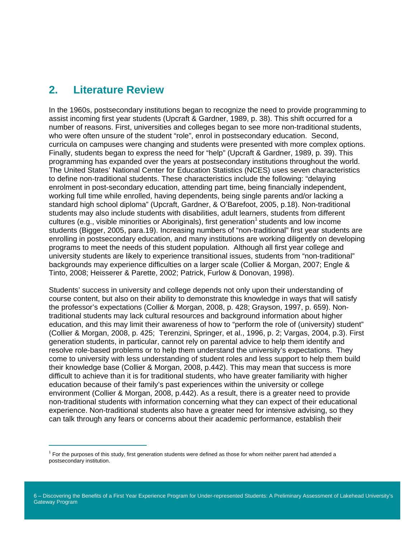### **2. Literature Review**

 $\overline{a}$ 

In the 1960s, postsecondary institutions began to recognize the need to provide programming to assist incoming first year students (Upcraft & Gardner, 1989, p. 38). This shift occurred for a number of reasons. First, universities and colleges began to see more non-traditional students, who were often unsure of the student "role", enrol in postsecondary education. Second, curricula on campuses were changing and students were presented with more complex options. Finally, students began to express the need for "help" (Upcraft & Gardner, 1989, p. 39). This programming has expanded over the years at postsecondary institutions throughout the world. The United States' National Center for Education Statistics (NCES) uses seven characteristics to define non-traditional students. These characteristics include the following: "delaying enrolment in post-secondary education, attending part time, being financially independent, working full time while enrolled, having dependents, being single parents and/or lacking a standard high school diploma" (Upcraft, Gardner, & O'Barefoot, 2005, p.18). Non-traditional students may also include students with disabilities, adult learners, students from different cultures (e.g., visible minorities or Aboriginals), first generation<sup>1</sup> students and low income students (Bigger, 2005, para.19). Increasing numbers of "non-traditional" first year students are enrolling in postsecondary education, and many institutions are working diligently on developing programs to meet the needs of this student population. Although all first year college and university students are likely to experience transitional issues, students from "non-traditional" backgrounds may experience difficulties on a larger scale (Collier & Morgan, 2007; Engle & Tinto, 2008; Heisserer & Parette, 2002; Patrick, Furlow & Donovan, 1998).

Students' success in university and college depends not only upon their understanding of course content, but also on their ability to demonstrate this knowledge in ways that will satisfy the professor's expectations (Collier & Morgan, 2008, p. 428; Grayson, 1997, p. 659). Nontraditional students may lack cultural resources and background information about higher education, and this may limit their awareness of how to "perform the role of (university) student" (Collier & Morgan, 2008, p. 425; Terenzini, Springer, et al., 1996, p. 2; Vargas, 2004, p.3). First generation students, in particular, cannot rely on parental advice to help them identify and resolve role-based problems or to help them understand the university's expectations. They come to university with less understanding of student roles and less support to help them build their knowledge base (Collier & Morgan, 2008, p.442). This may mean that success is more difficult to achieve than it is for traditional students, who have greater familiarity with higher education because of their family's past experiences within the university or college environment (Collier & Morgan, 2008, p.442). As a result, there is a greater need to provide non-traditional students with information concerning what they can expect of their educational experience. Non-traditional students also have a greater need for intensive advising, so they can talk through any fears or concerns about their academic performance, establish their

<sup>&</sup>lt;sup>1</sup> For the purposes of this study, first generation students were defined as those for whom neither parent had attended a postsecondary institution.

<sup>6 –</sup> Discovering the Benefits of a First Year Experience Program for Under-represented Students: A Preliminary Assessment of Lakehead University's Gateway Program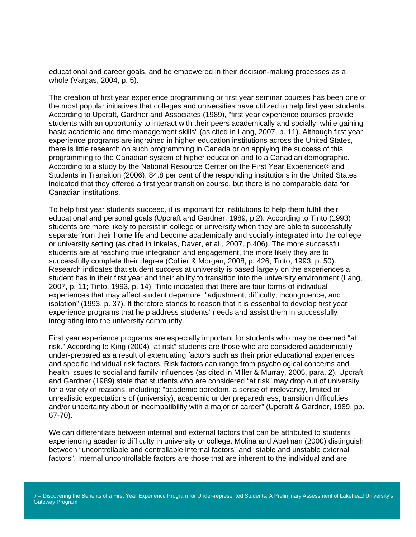educational and career goals, and be empowered in their decision-making processes as a whole (Vargas, 2004, p. 5).

The creation of first year experience programming or first year seminar courses has been one of the most popular initiatives that colleges and universities have utilized to help first year students. According to Upcraft, Gardner and Associates (1989), "first year experience courses provide students with an opportunity to interact with their peers academically and socially, while gaining basic academic and time management skills" (as cited in Lang, 2007, p. 11). Although first year experience programs are ingrained in higher education institutions across the United States, there is little research on such programming in Canada or on applying the success of this programming to the Canadian system of higher education and to a Canadian demographic. According to a study by the National Resource Center on the First Year Experience® and Students in Transition (2006), 84.8 per cent of the responding institutions in the United States indicated that they offered a first year transition course, but there is no comparable data for Canadian institutions.

To help first year students succeed, it is important for institutions to help them fulfill their educational and personal goals (Upcraft and Gardner, 1989, p.2). According to Tinto (1993) students are more likely to persist in college or university when they are able to successfully separate from their home life and become academically and socially integrated into the college or university setting (as cited in Inkelas, Daver, et al., 2007, p.406). The more successful students are at reaching true integration and engagement, the more likely they are to successfully complete their degree (Collier & Morgan, 2008, p. 426; Tinto, 1993, p. 50). Research indicates that student success at university is based largely on the experiences a student has in their first year and their ability to transition into the university environment (Lang, 2007, p. 11; Tinto, 1993, p. 14). Tinto indicated that there are four forms of individual experiences that may affect student departure: "adjustment, difficulty, incongruence, and isolation" (1993, p. 37). It therefore stands to reason that it is essential to develop first year experience programs that help address students' needs and assist them in successfully integrating into the university community.

First year experience programs are especially important for students who may be deemed "at risk." According to King (2004) "at risk" students are those who are considered academically under-prepared as a result of extenuating factors such as their prior educational experiences and specific individual risk factors. Risk factors can range from psychological concerns and health issues to social and family influences (as cited in Miller & Murray, 2005, para. 2). Upcraft and Gardner (1989) state that students who are considered "at risk" may drop out of university for a variety of reasons, including: "academic boredom, a sense of irrelevancy, limited or unrealistic expectations of (university), academic under preparedness, transition difficulties and/or uncertainty about or incompatibility with a major or career" (Upcraft & Gardner, 1989, pp. 67-70).

We can differentiate between internal and external factors that can be attributed to students experiencing academic difficulty in university or college. Molina and Abelman (2000) distinguish between "uncontrollable and controllable internal factors" and "stable and unstable external factors". Internal uncontrollable factors are those that are inherent to the individual and are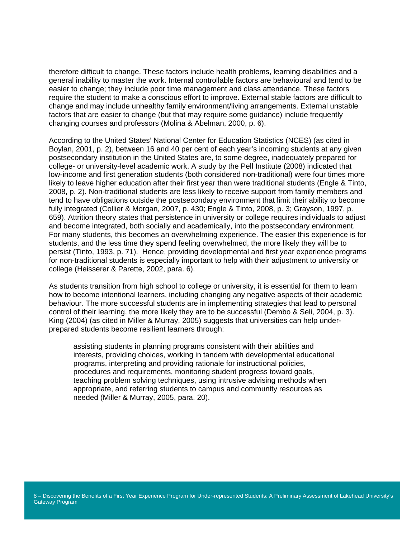therefore difficult to change. These factors include health problems, learning disabilities and a general inability to master the work. Internal controllable factors are behavioural and tend to be easier to change; they include poor time management and class attendance. These factors require the student to make a conscious effort to improve. External stable factors are difficult to change and may include unhealthy family environment/living arrangements. External unstable factors that are easier to change (but that may require some guidance) include frequently changing courses and professors (Molina & Abelman, 2000, p. 6).

According to the United States' National Center for Education Statistics (NCES) (as cited in Boylan, 2001, p. 2), between 16 and 40 per cent of each year's incoming students at any given postsecondary institution in the United States are, to some degree, inadequately prepared for college- or university-level academic work. A study by the Pell Institute (2008) indicated that low-income and first generation students (both considered non-traditional) were four times more likely to leave higher education after their first year than were traditional students (Engle & Tinto, 2008, p. 2). Non-traditional students are less likely to receive support from family members and tend to have obligations outside the postsecondary environment that limit their ability to become fully integrated (Collier & Morgan, 2007, p. 430; Engle & Tinto, 2008, p. 3; Grayson, 1997, p. 659). Attrition theory states that persistence in university or college requires individuals to adjust and become integrated, both socially and academically, into the postsecondary environment. For many students, this becomes an overwhelming experience. The easier this experience is for students, and the less time they spend feeling overwhelmed, the more likely they will be to persist (Tinto, 1993, p. 71). Hence, providing developmental and first year experience programs for non-traditional students is especially important to help with their adjustment to university or college (Heisserer & Parette, 2002, para. 6).

As students transition from high school to college or university, it is essential for them to learn how to become intentional learners, including changing any negative aspects of their academic behaviour. The more successful students are in implementing strategies that lead to personal control of their learning, the more likely they are to be successful (Dembo & Seli, 2004, p. 3). King (2004) (as cited in Miller & Murray, 2005) suggests that universities can help underprepared students become resilient learners through:

assisting students in planning programs consistent with their abilities and interests, providing choices, working in tandem with developmental educational programs, interpreting and providing rationale for instructional policies, procedures and requirements, monitoring student progress toward goals, teaching problem solving techniques, using intrusive advising methods when appropriate, and referring students to campus and community resources as needed (Miller & Murray, 2005, para. 20).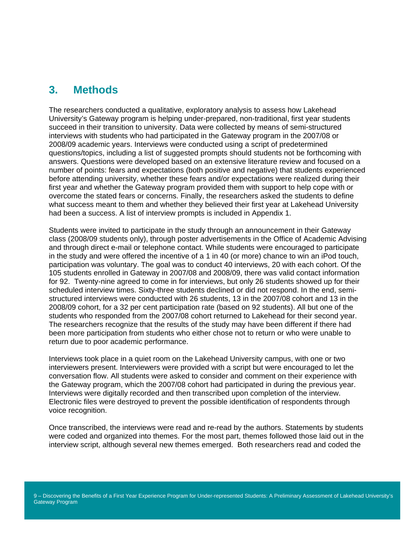### **3. Methods**

The researchers conducted a qualitative, exploratory analysis to assess how Lakehead University's Gateway program is helping under-prepared, non-traditional, first year students succeed in their transition to university. Data were collected by means of semi-structured interviews with students who had participated in the Gateway program in the 2007/08 or 2008/09 academic years. Interviews were conducted using a script of predetermined questions/topics, including a list of suggested prompts should students not be forthcoming with answers. Questions were developed based on an extensive literature review and focused on a number of points: fears and expectations (both positive and negative) that students experienced before attending university, whether these fears and/or expectations were realized during their first year and whether the Gateway program provided them with support to help cope with or overcome the stated fears or concerns. Finally, the researchers asked the students to define what success meant to them and whether they believed their first year at Lakehead University had been a success. A list of interview prompts is included in Appendix 1.

Students were invited to participate in the study through an announcement in their Gateway class (2008/09 students only), through poster advertisements in the Office of Academic Advising and through direct e-mail or telephone contact. While students were encouraged to participate in the study and were offered the incentive of a 1 in 40 (or more) chance to win an iPod touch, participation was voluntary. The goal was to conduct 40 interviews, 20 with each cohort. Of the 105 students enrolled in Gateway in 2007/08 and 2008/09, there was valid contact information for 92. Twenty-nine agreed to come in for interviews, but only 26 students showed up for their scheduled interview times. Sixty-three students declined or did not respond. In the end, semistructured interviews were conducted with 26 students, 13 in the 2007/08 cohort and 13 in the 2008/09 cohort, for a 32 per cent participation rate (based on 92 students). All but one of the students who responded from the 2007/08 cohort returned to Lakehead for their second year. The researchers recognize that the results of the study may have been different if there had been more participation from students who either chose not to return or who were unable to return due to poor academic performance.

Interviews took place in a quiet room on the Lakehead University campus, with one or two interviewers present. Interviewers were provided with a script but were encouraged to let the conversation flow. All students were asked to consider and comment on their experience with the Gateway program, which the 2007/08 cohort had participated in during the previous year. Interviews were digitally recorded and then transcribed upon completion of the interview. Electronic files were destroyed to prevent the possible identification of respondents through voice recognition.

Once transcribed, the interviews were read and re-read by the authors. Statements by students were coded and organized into themes. For the most part, themes followed those laid out in the interview script, although several new themes emerged. Both researchers read and coded the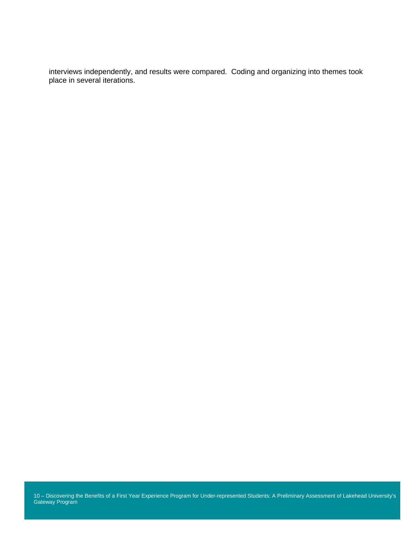interviews independently, and results were compared. Coding and organizing into themes took place in several iterations.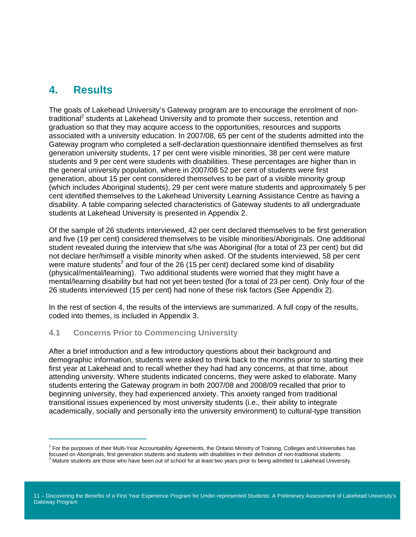### **4. Results**

The goals of Lakehead University's Gateway program are to encourage the enrolment of nontraditional<sup>2</sup> students at Lakehead University and to promote their success, retention and graduation so that they may acquire access to the opportunities, resources and supports associated with a university education. In 2007/08, 65 per cent of the students admitted into the Gateway program who completed a self-declaration questionnaire identified themselves as first generation university students, 17 per cent were visible minorities, 38 per cent were mature students and 9 per cent were students with disabilities. These percentages are higher than in the general university population, where in 2007/08 52 per cent of students were first generation, about 15 per cent considered themselves to be part of a visible minority group (which includes Aboriginal students), 29 per cent were mature students and approximately 5 per cent identified themselves to the Lakehead University Learning Assistance Centre as having a disability. A table comparing selected characteristics of Gateway students to all undergraduate students at Lakehead University is presented in Appendix 2.

Of the sample of 26 students interviewed, 42 per cent declared themselves to be first generation and five (19 per cent) considered themselves to be visible minorities/Aboriginals. One additional student revealed during the interview that s/he was Aboriginal (for a total of 23 per cent) but did not declare her/himself a visible minority when asked. Of the students interviewed, 58 per cent were mature students<sup>3</sup> and four of the  $26$  (15 per cent) declared some kind of disability (physical/mental/learning). Two additional students were worried that they might have a mental/learning disability but had not yet been tested (for a total of 23 per cent). Only four of the 26 students interviewed (15 per cent) had none of these risk factors (See Appendix 2).

In the rest of section 4, the results of the interviews are summarized. A full copy of the results, coded into themes, is included in Appendix 3.

#### **4.1 Concerns Prior to Commencing University**

After a brief introduction and a few introductory questions about their background and demographic information, students were asked to think back to the months prior to starting their first year at Lakehead and to recall whether they had had any concerns, at that time, about attending university. Where students indicated concerns, they were asked to elaborate. Many students entering the Gateway program in both 2007/08 and 2008/09 recalled that prior to beginning university, they had experienced anxiety. This anxiety ranged from traditional transitional issues experienced by most university students (i.e., their ability to integrate academically, socially and personally into the university environment) to cultural-type transition

 $\overline{a}$  $^2$  For the purposes of their Multi-Year Accountability Agreements, the Ontario Ministry of Training, Colleges and Universities has focused on Aboriginals, first generation students and students with disabilities in their definition of non-traditional students. 3

 $3$  Mature students are those who have been out of school for at least two years prior to being admitted to Lakehead University.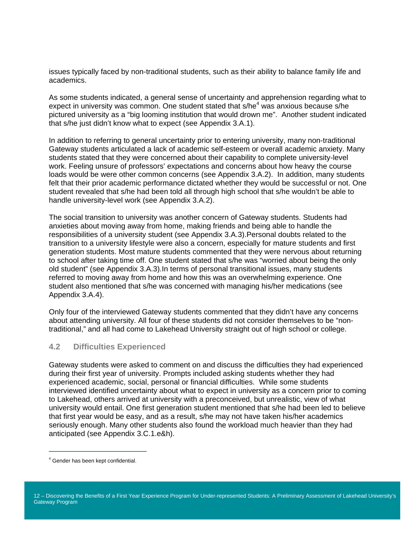issues typically faced by non-traditional students, such as their ability to balance family life and academics.

As some students indicated, a general sense of uncertainty and apprehension regarding what to expect in university was common. One student stated that s/he<sup>4</sup> was anxious because s/he pictured university as a "big looming institution that would drown me". Another student indicated that s/he just didn't know what to expect (see Appendix 3.A.1).

In addition to referring to general uncertainty prior to entering university, many non-traditional Gateway students articulated a lack of academic self-esteem or overall academic anxiety. Many students stated that they were concerned about their capability to complete university-level work. Feeling unsure of professors' expectations and concerns about how heavy the course loads would be were other common concerns (see Appendix 3.A.2). In addition, many students felt that their prior academic performance dictated whether they would be successful or not. One student revealed that s/he had been told all through high school that s/he wouldn't be able to handle university-level work (see Appendix 3.A.2).

The social transition to university was another concern of Gateway students. Students had anxieties about moving away from home, making friends and being able to handle the responsibilities of a university student (see Appendix 3.A.3).Personal doubts related to the transition to a university lifestyle were also a concern, especially for mature students and first generation students. Most mature students commented that they were nervous about returning to school after taking time off. One student stated that s/he was "worried about being the only old student" (see Appendix 3.A.3).In terms of personal transitional issues, many students referred to moving away from home and how this was an overwhelming experience. One student also mentioned that s/he was concerned with managing his/her medications (see Appendix 3.A.4).

Only four of the interviewed Gateway students commented that they didn't have any concerns about attending university. All four of these students did not consider themselves to be "nontraditional," and all had come to Lakehead University straight out of high school or college.

#### **4.2 Difficulties Experienced**

Gateway students were asked to comment on and discuss the difficulties they had experienced during their first year of university. Prompts included asking students whether they had experienced academic, social, personal or financial difficulties. While some students interviewed identified uncertainty about what to expect in university as a concern prior to coming to Lakehead, others arrived at university with a preconceived, but unrealistic, view of what university would entail. One first generation student mentioned that s/he had been led to believe that first year would be easy, and as a result, s/he may not have taken his/her academics seriously enough. Many other students also found the workload much heavier than they had anticipated (see Appendix 3.C.1.e&h).

 $\overline{a}$ <sup>4</sup> Gender has been kept confidential.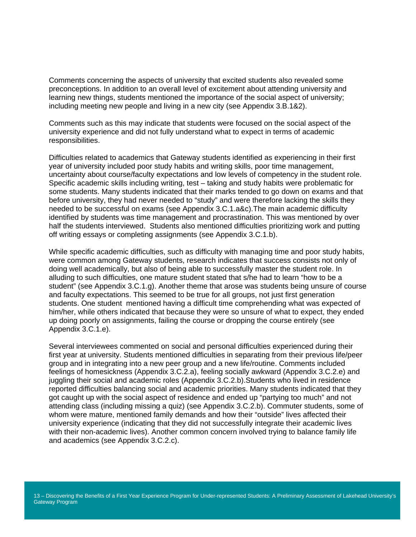Comments concerning the aspects of university that excited students also revealed some preconceptions. In addition to an overall level of excitement about attending university and learning new things, students mentioned the importance of the social aspect of university; including meeting new people and living in a new city (see Appendix 3.B.1&2).

Comments such as this may indicate that students were focused on the social aspect of the university experience and did not fully understand what to expect in terms of academic responsibilities.

Difficulties related to academics that Gateway students identified as experiencing in their first year of university included poor study habits and writing skills, poor time management, uncertainty about course/faculty expectations and low levels of competency in the student role. Specific academic skills including writing, test – taking and study habits were problematic for some students. Many students indicated that their marks tended to go down on exams and that before university, they had never needed to "study" and were therefore lacking the skills they needed to be successful on exams (see Appendix 3.C.1.a&c).The main academic difficulty identified by students was time management and procrastination. This was mentioned by over half the students interviewed. Students also mentioned difficulties prioritizing work and putting off writing essays or completing assignments (see Appendix 3.C.1.b).

While specific academic difficulties, such as difficulty with managing time and poor study habits, were common among Gateway students, research indicates that success consists not only of doing well academically, but also of being able to successfully master the student role. In alluding to such difficulties, one mature student stated that s/he had to learn "how to be a student" (see Appendix 3.C.1.g). Another theme that arose was students being unsure of course and faculty expectations. This seemed to be true for all groups, not just first generation students. One student mentioned having a difficult time comprehending what was expected of him/her, while others indicated that because they were so unsure of what to expect, they ended up doing poorly on assignments, failing the course or dropping the course entirely (see Appendix 3.C.1.e).

Several interviewees commented on social and personal difficulties experienced during their first year at university. Students mentioned difficulties in separating from their previous life/peer group and in integrating into a new peer group and a new life/routine. Comments included feelings of homesickness (Appendix 3.C.2.a), feeling socially awkward (Appendix 3.C.2.e) and juggling their social and academic roles (Appendix 3.C.2.b).Students who lived in residence reported difficulties balancing social and academic priorities. Many students indicated that they got caught up with the social aspect of residence and ended up "partying too much" and not attending class (including missing a quiz) (see Appendix 3.C.2.b). Commuter students, some of whom were mature, mentioned family demands and how their "outside" lives affected their university experience (indicating that they did not successfully integrate their academic lives with their non-academic lives). Another common concern involved trying to balance family life and academics (see Appendix 3.C.2.c).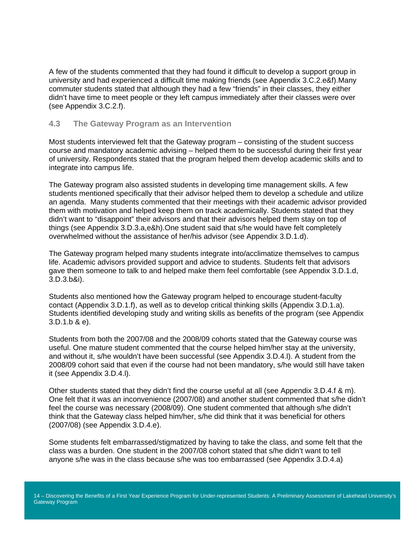A few of the students commented that they had found it difficult to develop a support group in university and had experienced a difficult time making friends (see Appendix 3.C.2.e&f).Many commuter students stated that although they had a few "friends" in their classes, they either didn't have time to meet people or they left campus immediately after their classes were over (see Appendix 3.C.2.f).

#### **4.3 The Gateway Program as an Intervention**

Most students interviewed felt that the Gateway program – consisting of the student success course and mandatory academic advising – helped them to be successful during their first year of university. Respondents stated that the program helped them develop academic skills and to integrate into campus life.

The Gateway program also assisted students in developing time management skills. A few students mentioned specifically that their advisor helped them to develop a schedule and utilize an agenda. Many students commented that their meetings with their academic advisor provided them with motivation and helped keep them on track academically. Students stated that they didn't want to "disappoint" their advisors and that their advisors helped them stay on top of things (see Appendix 3.D.3.a,e&h).One student said that s/he would have felt completely overwhelmed without the assistance of her/his advisor (see Appendix 3.D.1.d).

The Gateway program helped many students integrate into/acclimatize themselves to campus life. Academic advisors provided support and advice to students. Students felt that advisors gave them someone to talk to and helped make them feel comfortable (see Appendix 3.D.1.d, 3.D.3.b&i).

Students also mentioned how the Gateway program helped to encourage student-faculty contact (Appendix 3.D.1.f), as well as to develop critical thinking skills (Appendix 3.D.1.a). Students identified developing study and writing skills as benefits of the program (see Appendix 3.D.1.b & e).

Students from both the 2007/08 and the 2008/09 cohorts stated that the Gateway course was useful. One mature student commented that the course helped him/her stay at the university, and without it, s/he wouldn't have been successful (see Appendix 3.D.4.l). A student from the 2008/09 cohort said that even if the course had not been mandatory, s/he would still have taken it (see Appendix 3.D.4.l).

Other students stated that they didn't find the course useful at all (see Appendix 3.D.4.f & m). One felt that it was an inconvenience (2007/08) and another student commented that s/he didn't feel the course was necessary (2008/09). One student commented that although s/he didn't think that the Gateway class helped him/her, s/he did think that it was beneficial for others (2007/08) (see Appendix 3.D.4.e).

Some students felt embarrassed/stigmatized by having to take the class, and some felt that the class was a burden. One student in the 2007/08 cohort stated that s/he didn't want to tell anyone s/he was in the class because s/he was too embarrassed (see Appendix 3.D.4.a)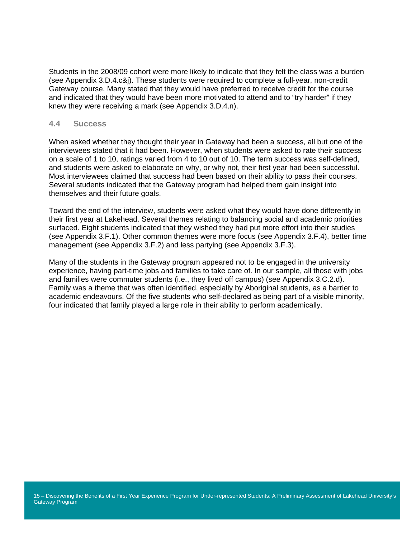Students in the 2008/09 cohort were more likely to indicate that they felt the class was a burden (see Appendix 3.D.4.c&j). These students were required to complete a full-year, non-credit Gateway course. Many stated that they would have preferred to receive credit for the course and indicated that they would have been more motivated to attend and to "try harder" if they knew they were receiving a mark (see Appendix 3.D.4.n).

#### **4.4 Success**

When asked whether they thought their year in Gateway had been a success, all but one of the interviewees stated that it had been. However, when students were asked to rate their success on a scale of 1 to 10, ratings varied from 4 to 10 out of 10. The term success was self-defined, and students were asked to elaborate on why, or why not, their first year had been successful. Most interviewees claimed that success had been based on their ability to pass their courses. Several students indicated that the Gateway program had helped them gain insight into themselves and their future goals.

Toward the end of the interview, students were asked what they would have done differently in their first year at Lakehead. Several themes relating to balancing social and academic priorities surfaced. Eight students indicated that they wished they had put more effort into their studies (see Appendix 3.F.1). Other common themes were more focus (see Appendix 3.F.4), better time management (see Appendix 3.F.2) and less partying (see Appendix 3.F.3).

Many of the students in the Gateway program appeared not to be engaged in the university experience, having part-time jobs and families to take care of. In our sample, all those with jobs and families were commuter students (i.e., they lived off campus) (see Appendix 3.C.2.d). Family was a theme that was often identified, especially by Aboriginal students, as a barrier to academic endeavours. Of the five students who self-declared as being part of a visible minority, four indicated that family played a large role in their ability to perform academically.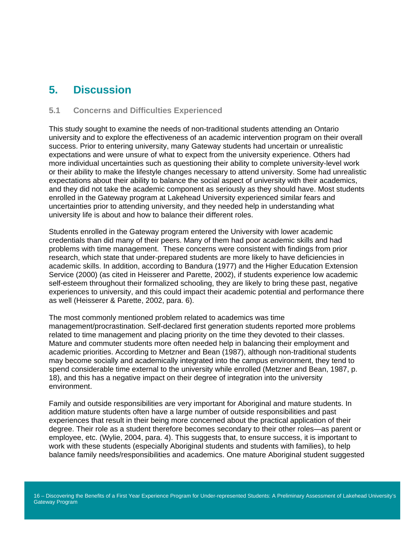### **5. Discussion**

#### **5.1 Concerns and Difficulties Experienced**

This study sought to examine the needs of non-traditional students attending an Ontario university and to explore the effectiveness of an academic intervention program on their overall success. Prior to entering university, many Gateway students had uncertain or unrealistic expectations and were unsure of what to expect from the university experience. Others had more individual uncertainties such as questioning their ability to complete university-level work or their ability to make the lifestyle changes necessary to attend university. Some had unrealistic expectations about their ability to balance the social aspect of university with their academics, and they did not take the academic component as seriously as they should have. Most students enrolled in the Gateway program at Lakehead University experienced similar fears and uncertainties prior to attending university, and they needed help in understanding what university life is about and how to balance their different roles.

Students enrolled in the Gateway program entered the University with lower academic credentials than did many of their peers. Many of them had poor academic skills and had problems with time management. These concerns were consistent with findings from prior research, which state that under-prepared students are more likely to have deficiencies in academic skills. In addition, according to Bandura (1977) and the Higher Education Extension Service (2000) (as cited in Heisserer and Parette, 2002), if students experience low academic self-esteem throughout their formalized schooling, they are likely to bring these past, negative experiences to university, and this could impact their academic potential and performance there as well (Heisserer & Parette, 2002, para. 6).

The most commonly mentioned problem related to academics was time management/procrastination. Self-declared first generation students reported more problems related to time management and placing priority on the time they devoted to their classes. Mature and commuter students more often needed help in balancing their employment and academic priorities. According to Metzner and Bean (1987), although non-traditional students may become socially and academically integrated into the campus environment, they tend to spend considerable time external to the university while enrolled (Metzner and Bean, 1987, p. 18), and this has a negative impact on their degree of integration into the university environment.

Family and outside responsibilities are very important for Aboriginal and mature students. In addition mature students often have a large number of outside responsibilities and past experiences that result in their being more concerned about the practical application of their degree. Their role as a student therefore becomes secondary to their other roles—as parent or employee, etc. (Wylie, 2004, para. 4). This suggests that, to ensure success, it is important to work with these students (especially Aboriginal students and students with families), to help balance family needs/responsibilities and academics. One mature Aboriginal student suggested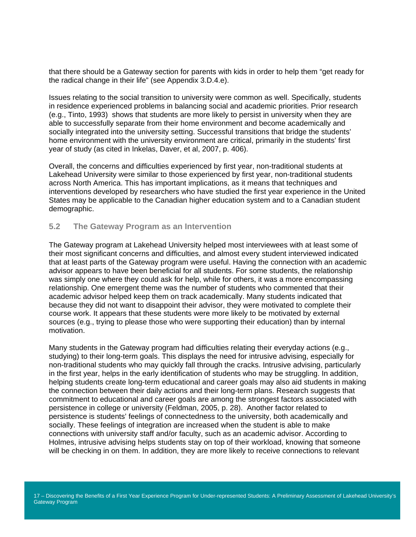that there should be a Gateway section for parents with kids in order to help them "get ready for the radical change in their life" (see Appendix 3.D.4.e).

Issues relating to the social transition to university were common as well. Specifically, students in residence experienced problems in balancing social and academic priorities. Prior research (e.g., Tinto, 1993) shows that students are more likely to persist in university when they are able to successfully separate from their home environment and become academically and socially integrated into the university setting. Successful transitions that bridge the students' home environment with the university environment are critical, primarily in the students' first year of study (as cited in Inkelas, Daver, et al, 2007, p. 406).

Overall, the concerns and difficulties experienced by first year, non-traditional students at Lakehead University were similar to those experienced by first year, non-traditional students across North America. This has important implications, as it means that techniques and interventions developed by researchers who have studied the first year experience in the United States may be applicable to the Canadian higher education system and to a Canadian student demographic.

#### **5.2 The Gateway Program as an Intervention**

The Gateway program at Lakehead University helped most interviewees with at least some of their most significant concerns and difficulties, and almost every student interviewed indicated that at least parts of the Gateway program were useful. Having the connection with an academic advisor appears to have been beneficial for all students. For some students, the relationship was simply one where they could ask for help, while for others, it was a more encompassing relationship. One emergent theme was the number of students who commented that their academic advisor helped keep them on track academically. Many students indicated that because they did not want to disappoint their advisor, they were motivated to complete their course work. It appears that these students were more likely to be motivated by external sources (e.g., trying to please those who were supporting their education) than by internal motivation.

Many students in the Gateway program had difficulties relating their everyday actions (e.g., studying) to their long-term goals. This displays the need for intrusive advising, especially for non-traditional students who may quickly fall through the cracks. Intrusive advising, particularly in the first year, helps in the early identification of students who may be struggling. In addition, helping students create long-term educational and career goals may also aid students in making the connection between their daily actions and their long-term plans. Research suggests that commitment to educational and career goals are among the strongest factors associated with persistence in college or university (Feldman, 2005, p. 28). Another factor related to persistence is students' feelings of connectedness to the university, both academically and socially. These feelings of integration are increased when the student is able to make connections with university staff and/or faculty, such as an academic advisor. According to Holmes, intrusive advising helps students stay on top of their workload, knowing that someone will be checking in on them. In addition, they are more likely to receive connections to relevant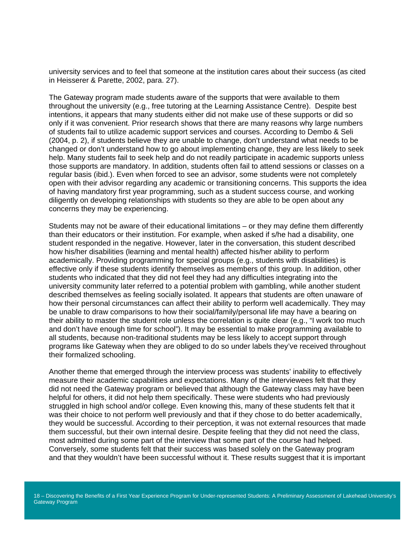university services and to feel that someone at the institution cares about their success (as cited in Heisserer & Parette, 2002, para. 27).

The Gateway program made students aware of the supports that were available to them throughout the university (e.g., free tutoring at the Learning Assistance Centre). Despite best intentions, it appears that many students either did not make use of these supports or did so only if it was convenient. Prior research shows that there are many reasons why large numbers of students fail to utilize academic support services and courses. According to Dembo & Seli (2004, p. 2), if students believe they are unable to change, don't understand what needs to be changed or don't understand how to go about implementing change, they are less likely to seek help. Many students fail to seek help and do not readily participate in academic supports unless those supports are mandatory. In addition, students often fail to attend sessions or classes on a regular basis (ibid.). Even when forced to see an advisor, some students were not completely open with their advisor regarding any academic or transitioning concerns. This supports the idea of having mandatory first year programming, such as a student success course, and working diligently on developing relationships with students so they are able to be open about any concerns they may be experiencing.

Students may not be aware of their educational limitations – or they may define them differently than their educators or their institution. For example, when asked if s/he had a disability, one student responded in the negative. However, later in the conversation, this student described how his/her disabilities (learning and mental health) affected his/her ability to perform academically. Providing programming for special groups (e.g., students with disabilities) is effective only if these students identify themselves as members of this group. In addition, other students who indicated that they did not feel they had any difficulties integrating into the university community later referred to a potential problem with gambling, while another student described themselves as feeling socially isolated. It appears that students are often unaware of how their personal circumstances can affect their ability to perform well academically. They may be unable to draw comparisons to how their social/family/personal life may have a bearing on their ability to master the student role unless the correlation is quite clear (e.g., "I work too much and don't have enough time for school"). It may be essential to make programming available to all students, because non-traditional students may be less likely to accept support through programs like Gateway when they are obliged to do so under labels they've received throughout their formalized schooling.

Another theme that emerged through the interview process was students' inability to effectively measure their academic capabilities and expectations. Many of the interviewees felt that they did not need the Gateway program or believed that although the Gateway class may have been helpful for others, it did not help them specifically. These were students who had previously struggled in high school and/or college. Even knowing this, many of these students felt that it was their choice to not perform well previously and that if they chose to do better academically, they would be successful. According to their perception, it was not external resources that made them successful, but their own internal desire. Despite feeling that they did not need the class, most admitted during some part of the interview that some part of the course had helped. Conversely, some students felt that their success was based solely on the Gateway program and that they wouldn't have been successful without it. These results suggest that it is important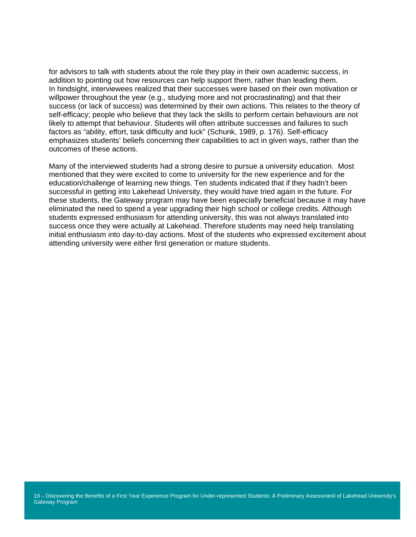for advisors to talk with students about the role they play in their own academic success, in addition to pointing out how resources can help support them, rather than leading them. In hindsight, interviewees realized that their successes were based on their own motivation or willpower throughout the year (e.g., studying more and not procrastinating) and that their success (or lack of success) was determined by their own actions. This relates to the theory of self-efficacy; people who believe that they lack the skills to perform certain behaviours are not likely to attempt that behaviour. Students will often attribute successes and failures to such factors as "ability, effort, task difficulty and luck" (Schunk, 1989, p. 176). Self-efficacy emphasizes students' beliefs concerning their capabilities to act in given ways, rather than the outcomes of these actions.

Many of the interviewed students had a strong desire to pursue a university education. Most mentioned that they were excited to come to university for the new experience and for the education/challenge of learning new things. Ten students indicated that if they hadn't been successful in getting into Lakehead University, they would have tried again in the future. For these students, the Gateway program may have been especially beneficial because it may have eliminated the need to spend a year upgrading their high school or college credits. Although students expressed enthusiasm for attending university, this was not always translated into success once they were actually at Lakehead. Therefore students may need help translating initial enthusiasm into day-to-day actions. Most of the students who expressed excitement about attending university were either first generation or mature students.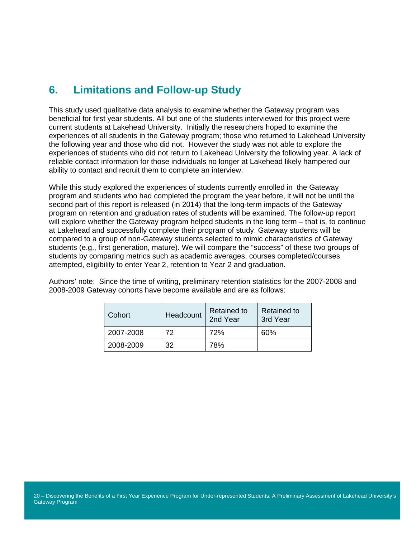## **6. Limitations and Follow-up Study**

This study used qualitative data analysis to examine whether the Gateway program was beneficial for first year students. All but one of the students interviewed for this project were current students at Lakehead University. Initially the researchers hoped to examine the experiences of all students in the Gateway program; those who returned to Lakehead University the following year and those who did not. However the study was not able to explore the experiences of students who did not return to Lakehead University the following year. A lack of reliable contact information for those individuals no longer at Lakehead likely hampered our ability to contact and recruit them to complete an interview.

While this study explored the experiences of students currently enrolled in the Gateway program and students who had completed the program the year before, it will not be until the second part of this report is released (in 2014) that the long-term impacts of the Gateway program on retention and graduation rates of students will be examined. The follow-up report will explore whether the Gateway program helped students in the long term – that is, to continue at Lakehead and successfully complete their program of study. Gateway students will be compared to a group of non-Gateway students selected to mimic characteristics of Gateway students (e.g., first generation, mature). We will compare the "success" of these two groups of students by comparing metrics such as academic averages, courses completed/courses attempted, eligibility to enter Year 2, retention to Year 2 and graduation.

Authors' note: Since the time of writing, preliminary retention statistics for the 2007-2008 and 2008-2009 Gateway cohorts have become available and are as follows:

| Cohort    | Headcount | <b>Retained to</b><br>2nd Year | Retained to<br>3rd Year |
|-----------|-----------|--------------------------------|-------------------------|
| 2007-2008 | 72        | 72%                            | 60%                     |
| 2008-2009 | 32        | 78%                            |                         |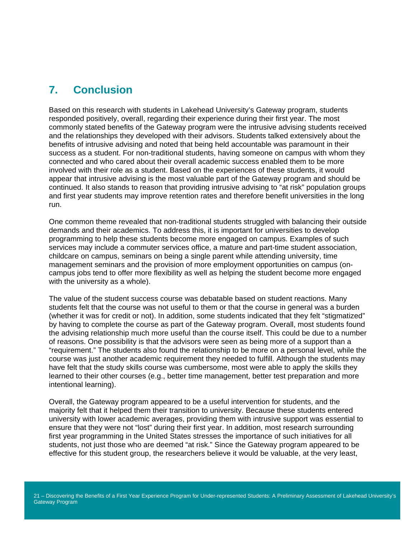### **7. Conclusion**

Based on this research with students in Lakehead University's Gateway program, students responded positively, overall, regarding their experience during their first year. The most commonly stated benefits of the Gateway program were the intrusive advising students received and the relationships they developed with their advisors. Students talked extensively about the benefits of intrusive advising and noted that being held accountable was paramount in their success as a student. For non-traditional students, having someone on campus with whom they connected and who cared about their overall academic success enabled them to be more involved with their role as a student. Based on the experiences of these students, it would appear that intrusive advising is the most valuable part of the Gateway program and should be continued. It also stands to reason that providing intrusive advising to "at risk" population groups and first year students may improve retention rates and therefore benefit universities in the long run.

One common theme revealed that non-traditional students struggled with balancing their outside demands and their academics. To address this, it is important for universities to develop programming to help these students become more engaged on campus. Examples of such services may include a commuter services office, a mature and part-time student association, childcare on campus, seminars on being a single parent while attending university, time management seminars and the provision of more employment opportunities on campus (oncampus jobs tend to offer more flexibility as well as helping the student become more engaged with the university as a whole).

The value of the student success course was debatable based on student reactions. Many students felt that the course was not useful to them or that the course in general was a burden (whether it was for credit or not). In addition, some students indicated that they felt "stigmatized" by having to complete the course as part of the Gateway program. Overall, most students found the advising relationship much more useful than the course itself. This could be due to a number of reasons. One possibility is that the advisors were seen as being more of a support than a "requirement." The students also found the relationship to be more on a personal level, while the course was just another academic requirement they needed to fulfill. Although the students may have felt that the study skills course was cumbersome, most were able to apply the skills they learned to their other courses (e.g., better time management, better test preparation and more intentional learning).

Overall, the Gateway program appeared to be a useful intervention for students, and the majority felt that it helped them their transition to university. Because these students entered university with lower academic averages, providing them with intrusive support was essential to ensure that they were not "lost" during their first year. In addition, most research surrounding first year programming in the United States stresses the importance of such initiatives for all students, not just those who are deemed "at risk." Since the Gateway program appeared to be effective for this student group, the researchers believe it would be valuable, at the very least,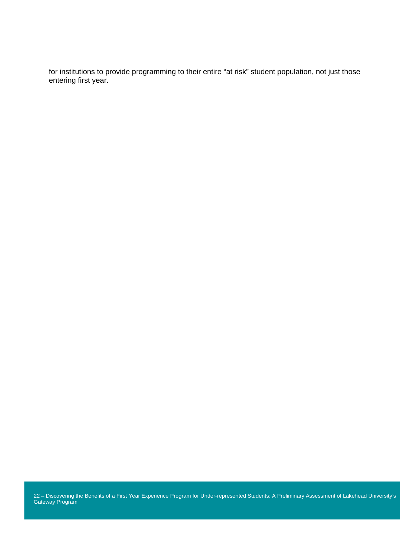for institutions to provide programming to their entire "at risk" student population, not just those entering first year.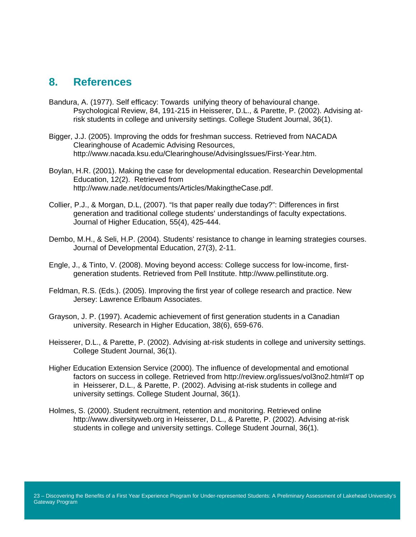### **8. References**

- Bandura, A. (1977). Self efficacy: Towards unifying theory of behavioural change. Psychological Review, 84, 191-215 in Heisserer, D.L., & Parette, P. (2002). Advising atrisk students in college and university settings. College Student Journal, 36(1).
- Bigger, J.J. (2005). Improving the odds for freshman success. Retrieved from NACADA Clearinghouse of Academic Advising Resources, http://www.nacada.ksu.edu/Clearinghouse/AdvisingIssues/First-Year.htm.
- Boylan, H.R. (2001). Making the case for developmental education. Researchin Developmental Education, 12(2). Retrieved from http://www.nade.net/documents/Articles/MakingtheCase.pdf.
- Collier, P.J., & Morgan, D.L, (2007). "Is that paper really due today?": Differences in first generation and traditional college students' understandings of faculty expectations. Journal of Higher Education, 55(4), 425-444.
- Dembo, M.H., & Seli, H.P. (2004). Students' resistance to change in learning strategies courses. Journal of Developmental Education, 27(3), 2-11.
- Engle, J., & Tinto, V. (2008). Moving beyond access: College success for low-income, firstgeneration students. Retrieved from Pell Institute. http://www.pellinstitute.org.
- Feldman, R.S. (Eds.). (2005). Improving the first year of college research and practice. New Jersey: Lawrence Erlbaum Associates.
- Grayson, J. P. (1997). Academic achievement of first generation students in a Canadian university. Research in Higher Education, 38(6), 659-676.
- Heisserer, D.L., & Parette, P. (2002). Advising at-risk students in college and university settings. College Student Journal, 36(1).
- Higher Education Extension Service (2000). The influence of developmental and emotional factors on success in college. Retrieved from http://review.org/issues/vol3no2.html#T op in Heisserer, D.L., & Parette, P. (2002). Advising at-risk students in college and university settings. College Student Journal, 36(1).
- Holmes, S. (2000). Student recruitment, retention and monitoring. Retrieved online http://www.diversityweb.org in Heisserer, D.L., & Parette, P. (2002). Advising at-risk students in college and university settings. College Student Journal, 36(1).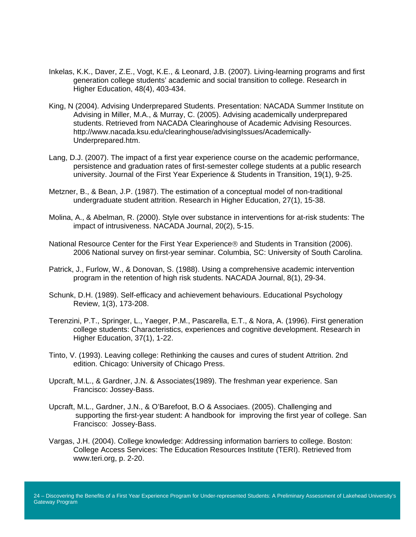- Inkelas, K.K., Daver, Z.E., Vogt, K.E., & Leonard, J.B. (2007). Living-learning programs and first generation college students' academic and social transition to college. Research in Higher Education, 48(4), 403-434.
- King, N (2004). Advising Underprepared Students. Presentation: NACADA Summer Institute on Advising in Miller, M.A., & Murray, C. (2005). Advising academically underprepared students. Retrieved from NACADA Clearinghouse of Academic Advising Resources. http://www.nacada.ksu.edu/clearinghouse/advisingIssues/Academically-Underprepared.htm.
- Lang, D.J. (2007). The impact of a first year experience course on the academic performance, persistence and graduation rates of first-semester college students at a public research university. Journal of the First Year Experience & Students in Transition, 19(1), 9-25.
- Metzner, B., & Bean, J.P. (1987). The estimation of a conceptual model of non-traditional undergraduate student attrition. Research in Higher Education, 27(1), 15-38.
- Molina, A., & Abelman, R. (2000). Style over substance in interventions for at-risk students: The impact of intrusiveness. NACADA Journal, 20(2), 5-15.
- National Resource Center for the First Year Experience® and Students in Transition (2006). 2006 National survey on first-year seminar. Columbia, SC: University of South Carolina.
- Patrick, J., Furlow, W., & Donovan, S. (1988). Using a comprehensive academic intervention program in the retention of high risk students. NACADA Journal, 8(1), 29-34.
- Schunk, D.H. (1989). Self-efficacy and achievement behaviours. Educational Psychology Review, 1(3), 173-208.
- Terenzini, P.T., Springer, L., Yaeger, P.M., Pascarella, E.T., & Nora, A. (1996). First generation college students: Characteristics, experiences and cognitive development. Research in Higher Education, 37(1), 1-22.
- Tinto, V. (1993). Leaving college: Rethinking the causes and cures of student Attrition. 2nd edition. Chicago: University of Chicago Press.
- Upcraft, M.L., & Gardner, J.N. & Associates(1989). The freshman year experience. San Francisco: Jossey-Bass.
- Upcraft, M.L., Gardner, J.N., & O'Barefoot, B.O & Associaes. (2005). Challenging and supporting the first-year student: A handbook for improving the first year of college. San Francisco: Jossey-Bass.
- Vargas, J.H. (2004). College knowledge: Addressing information barriers to college. Boston: College Access Services: The Education Resources Institute (TERI). Retrieved from www.teri.org, p. 2-20.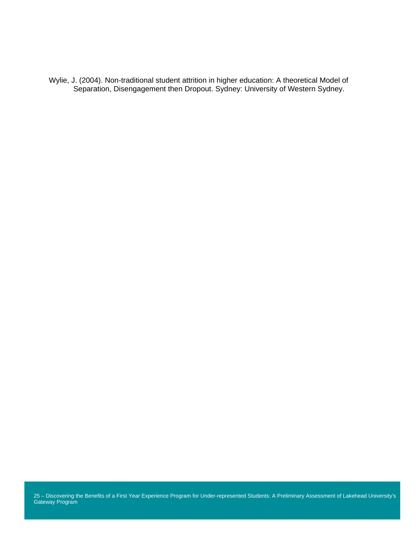Wylie, J. (2004). Non-traditional student attrition in higher education: A theoretical Model of Separation, Disengagement then Dropout. Sydney: University of Western Sydney.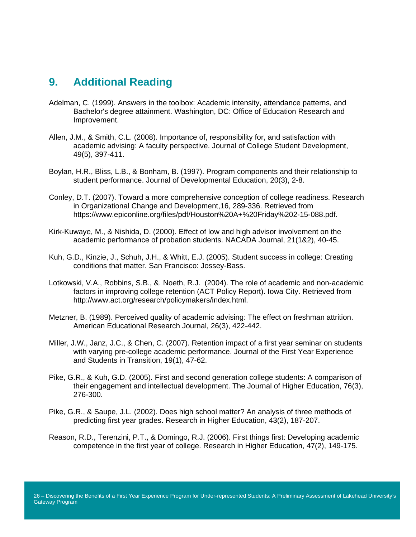### **9. Additional Reading**

- Adelman, C. (1999). Answers in the toolbox: Academic intensity, attendance patterns, and Bachelor's degree attainment. Washington, DC: Office of Education Research and Improvement.
- Allen, J.M., & Smith, C.L. (2008). Importance of, responsibility for, and satisfaction with academic advising: A faculty perspective. Journal of College Student Development, 49(5), 397-411.
- Boylan, H.R., Bliss, L.B., & Bonham, B. (1997). Program components and their relationship to student performance. Journal of Developmental Education, 20(3), 2-8.
- Conley, D.T. (2007). Toward a more comprehensive conception of college readiness. Research in Organizational Change and Development,16, 289-336. Retrieved from https://www.epiconline.org/files/pdf/Houston%20A+%20Friday%202-15-088.pdf.
- Kirk-Kuwaye, M., & Nishida, D. (2000). Effect of low and high advisor involvement on the academic performance of probation students. NACADA Journal, 21(1&2), 40-45.
- Kuh, G.D., Kinzie, J., Schuh, J.H., & Whitt, E.J. (2005). Student success in college: Creating conditions that matter. San Francisco: Jossey-Bass.
- Lotkowski, V.A., Robbins, S.B., &. Noeth, R.J. (2004). The role of academic and non-academic factors in improving college retention (ACT Policy Report). Iowa City. Retrieved from http://www.act.org/research/policymakers/index.html.
- Metzner, B. (1989). Perceived quality of academic advising: The effect on freshman attrition. American Educational Research Journal, 26(3), 422-442.
- Miller, J.W., Janz, J.C., & Chen, C. (2007). Retention impact of a first year seminar on students with varying pre-college academic performance. Journal of the First Year Experience and Students in Transition, 19(1), 47-62.
- Pike, G.R., & Kuh, G.D. (2005). First and second generation college students: A comparison of their engagement and intellectual development. The Journal of Higher Education, 76(3), 276-300.
- Pike, G.R., & Saupe, J.L. (2002). Does high school matter? An analysis of three methods of predicting first year grades. Research in Higher Education, 43(2), 187-207.
- Reason, R.D., Terenzini, P.T., & Domingo, R.J. (2006). First things first: Developing academic competence in the first year of college. Research in Higher Education, 47(2), 149-175.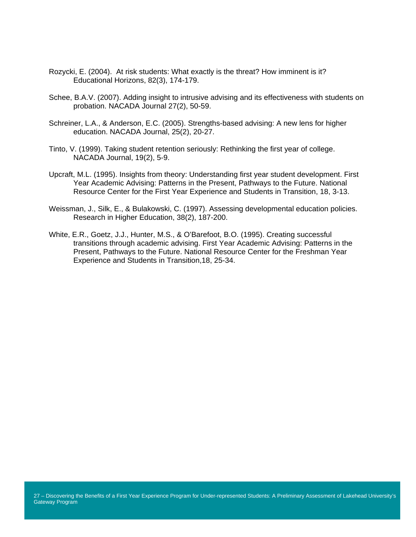- Rozycki, E. (2004). At risk students: What exactly is the threat? How imminent is it? Educational Horizons, 82(3), 174-179.
- Schee, B.A.V. (2007). Adding insight to intrusive advising and its effectiveness with students on probation. NACADA Journal 27(2), 50-59.
- Schreiner, L.A., & Anderson, E.C. (2005). Strengths-based advising: A new lens for higher education. NACADA Journal, 25(2), 20-27.
- Tinto, V. (1999). Taking student retention seriously: Rethinking the first year of college. NACADA Journal, 19(2), 5-9.
- Upcraft, M.L. (1995). Insights from theory: Understanding first year student development. First Year Academic Advising: Patterns in the Present, Pathways to the Future. National Resource Center for the First Year Experience and Students in Transition, 18, 3-13.
- Weissman, J., Silk, E., & Bulakowski, C. (1997). Assessing developmental education policies. Research in Higher Education, 38(2), 187-200.
- White, E.R., Goetz, J.J., Hunter, M.S., & O'Barefoot, B.O. (1995). Creating successful transitions through academic advising. First Year Academic Advising: Patterns in the Present, Pathways to the Future. National Resource Center for the Freshman Year Experience and Students in Transition,18, 25-34.